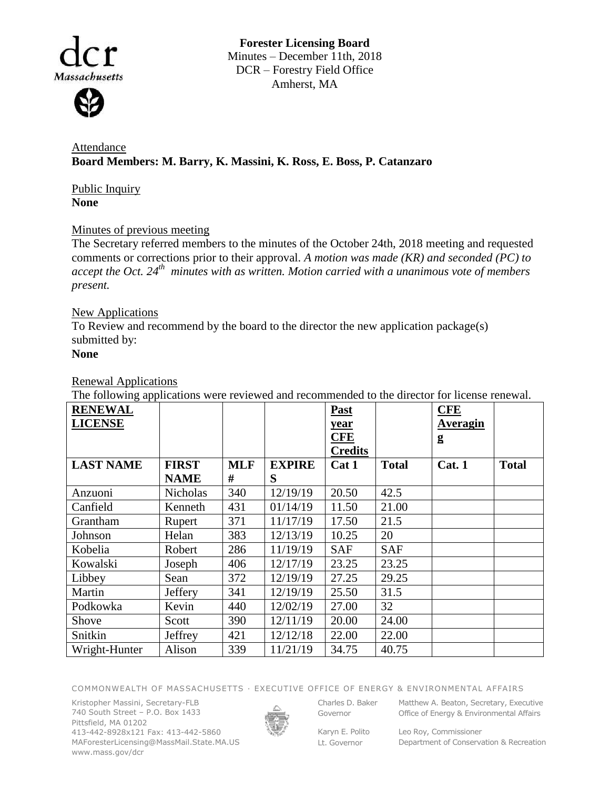Massachusetts

**Forester Licensing Board**  Minutes – December 11th, 2018 DCR – Forestry Field Office Amherst, MA

**Attendance Board Members: M. Barry, K. Massini, K. Ross, E. Boss, P. Catanzaro**

Public Inquiry **None**

## Minutes of previous meeting

The Secretary referred members to the minutes of the October 24th, 2018 meeting and requested comments or corrections prior to their approval. *A motion was made (KR) and seconded (PC) to accept the Oct. 24th minutes with as written. Motion carried with a unanimous vote of members present.*

# New Applications

To Review and recommend by the board to the director the new application package(s) submitted by:

## **None**

## Renewal Applications

The following applications were reviewed and recommended to the director for license renewal.

| <b>RENEWAL</b><br><b>LICENSE</b> |                 |            |               | <b>Past</b><br>year<br><b>CFE</b><br><b>Credits</b> |              | <b>CFE</b><br>Averagin<br>g |              |
|----------------------------------|-----------------|------------|---------------|-----------------------------------------------------|--------------|-----------------------------|--------------|
| <b>LAST NAME</b>                 | <b>FIRST</b>    | <b>MLF</b> | <b>EXPIRE</b> | Cat 1                                               | <b>Total</b> | Cat. 1                      | <b>Total</b> |
|                                  | <b>NAME</b>     | #          | S             |                                                     |              |                             |              |
| Anzuoni                          | <b>Nicholas</b> | 340        | 12/19/19      | 20.50                                               | 42.5         |                             |              |
| Canfield                         | Kenneth         | 431        | 01/14/19      | 11.50                                               | 21.00        |                             |              |
| Grantham                         | Rupert          | 371        | 11/17/19      | 17.50                                               | 21.5         |                             |              |
| Johnson                          | Helan           | 383        | 12/13/19      | 10.25                                               | 20           |                             |              |
| Kobelia                          | Robert          | 286        | 11/19/19      | <b>SAF</b>                                          | <b>SAF</b>   |                             |              |
| Kowalski                         | Joseph          | 406        | 12/17/19      | 23.25                                               | 23.25        |                             |              |
| Libbey                           | Sean            | 372        | 12/19/19      | 27.25                                               | 29.25        |                             |              |
| Martin                           | Jeffery         | 341        | 12/19/19      | 25.50                                               | 31.5         |                             |              |
| Podkowka                         | Kevin           | 440        | 12/02/19      | 27.00                                               | 32           |                             |              |
| Shove                            | Scott           | 390        | 12/11/19      | 20.00                                               | 24.00        |                             |              |
| Snitkin                          | Jeffrey         | 421        | 12/12/18      | 22.00                                               | 22.00        |                             |              |
| Wright-Hunter                    | Alison          | 339        | 11/21/19      | 34.75                                               | 40.75        |                             |              |

COMMONWEALTH OF MASSACHUSETTS · EXECUTIVE OFFICE OF ENERGY & ENVIRONMENTAL AFFAIRS

Kristopher Massini, Secretary-FLB 740 South Street – P.O. Box 1433 Pittsfield, MA 01202 413-442-8928x121 Fax: 413-442-5860 MAForesterLicensing@MassMail.State.MA.US www.mass.gov/dcr



Governor

Karyn E. Polito

Charles D. Baker Matthew A. Beaton, Secretary, Executive Office of Energy & Environmental Affairs

Lt. Governor

Leo Roy, Commissioner Department of Conservation & Recreation